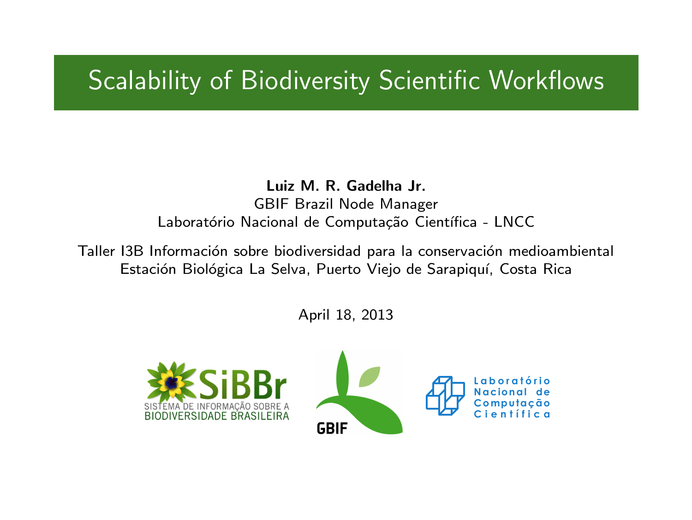### Scalability of Biodiversity Scientific Workflows

Luiz M. R. Gadelha Jr. GBIF Brazil Node Manager Laboratório Nacional de Computação Científica - LNCC

Taller I3B Información sobre biodiversidad para la conservación medioambiental Estación Biológica La Selva, Puerto Viejo de Sarapiquí, Costa Rica

April 18, 2013

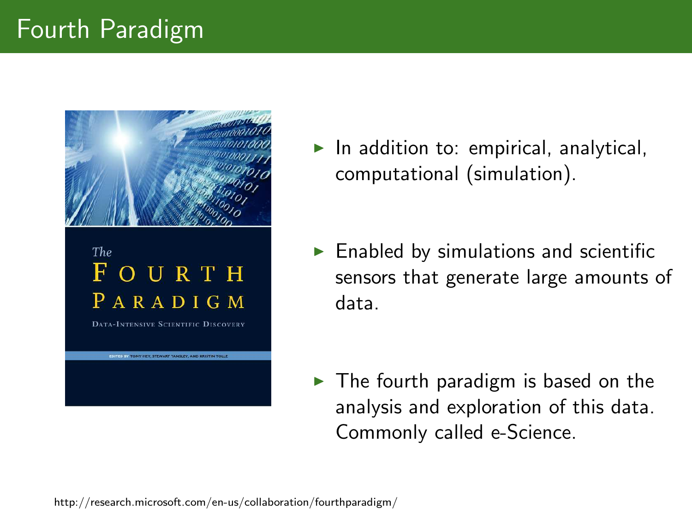

 $\blacktriangleright$  In addition to: empirical, analytical, computational (simulation).

 $\blacktriangleright$  Enabled by simulations and scientific sensors that generate large amounts of data.

 $\blacktriangleright$  The fourth paradigm is based on the analysis and exploration of this data. Commonly called e-Science.

http://research.microsoft.com/en-us/collaboration/fourthparadigm/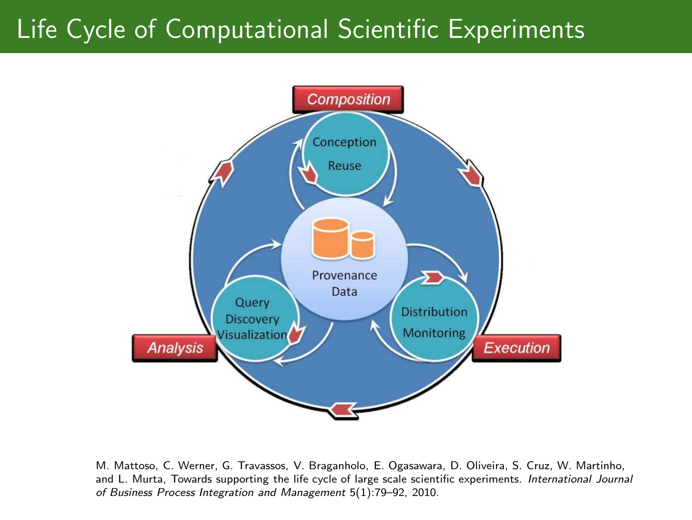# Life Cycle of Computational Scientific Experiments



M. Mattoso, C. Werner, G. Travassos, V. Braganholo, E. Ogasawara, D. Oliveira, S. Cruz, W. Martinho, and L. Murta, Towards supporting the life cycle of large scale scientific experiments. International Journal of Business Process Integration and Management 5(1):79–92, 2010.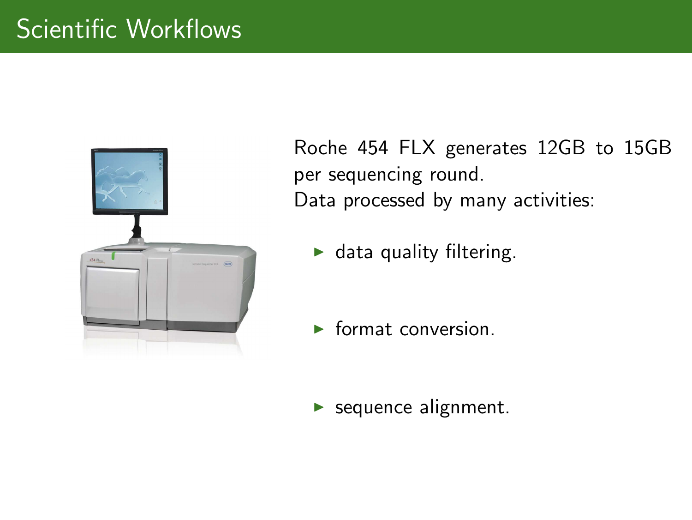

Roche 454 FLX generates 12GB to 15GB per sequencing round. Data processed by many activities:

 $\blacktriangleright$  data quality filtering.

 $\blacktriangleright$  format conversion.

 $\blacktriangleright$  sequence alignment.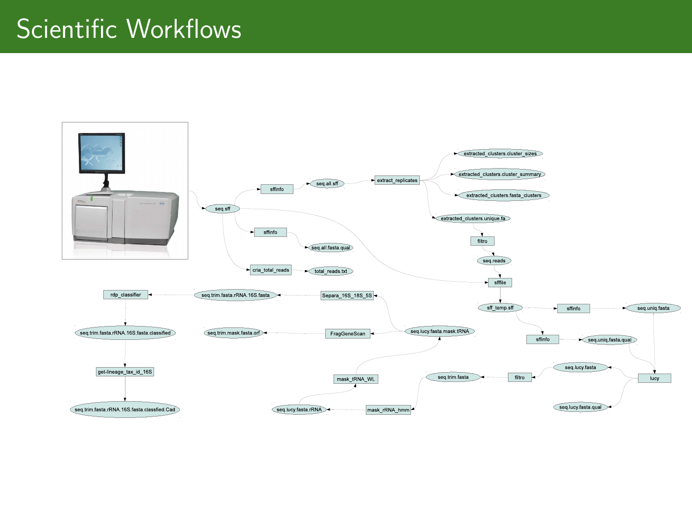# Scientific Workflows

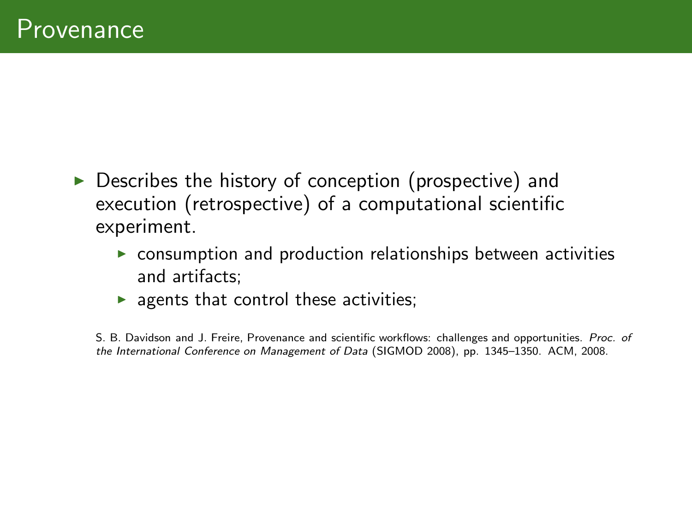- ▶ Describes the history of conception (prospective) and execution (retrospective) of a computational scientific experiment.
	- $\triangleright$  consumption and production relationships between activities and artifacts;
	- $\blacktriangleright$  agents that control these activities;

S. B. Davidson and J. Freire, Provenance and scientific workflows: challenges and opportunities. Proc. of the International Conference on Management of Data (SIGMOD 2008), pp. 1345–1350. ACM, 2008.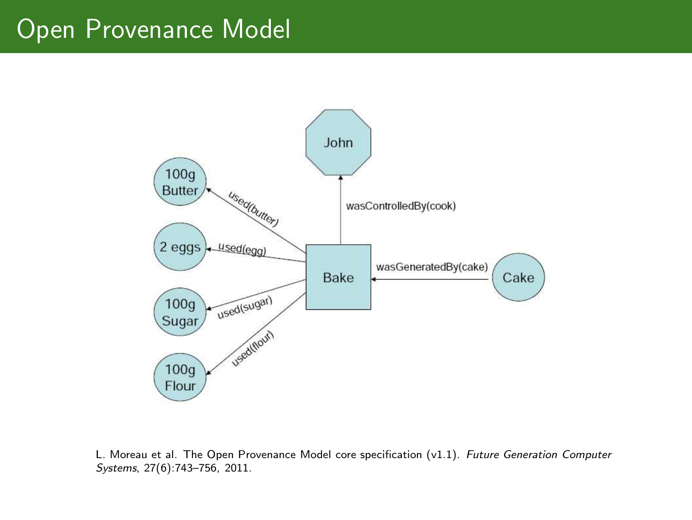### Open Provenance Model



L. Moreau et al. The Open Provenance Model core specification (v1.1). Future Generation Computer Systems, 27(6):743–756, 2011.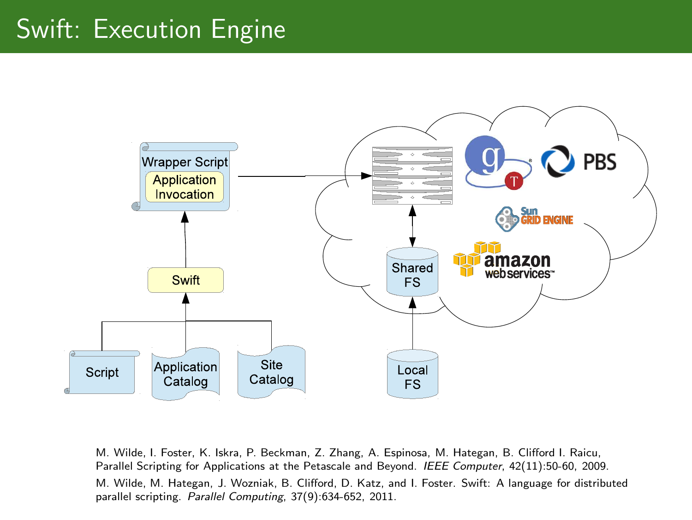# Swift: Execution Engine



M. Wilde, I. Foster, K. Iskra, P. Beckman, Z. Zhang, A. Espinosa, M. Hategan, B. Clifford I. Raicu, Parallel Scripting for Applications at the Petascale and Beyond. IEEE Computer, 42(11):50-60, 2009. M. Wilde, M. Hategan, J. Wozniak, B. Clifford, D. Katz, and I. Foster. Swift: A language for distributed parallel scripting. Parallel Computing, 37(9):634-652, 2011.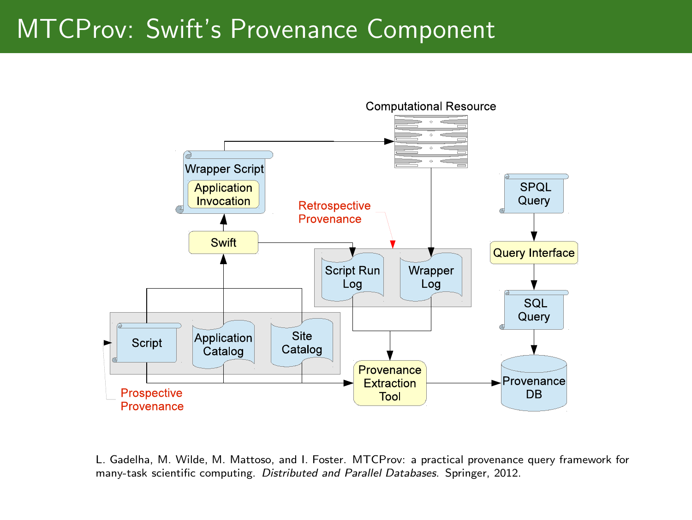### MTCProv: Swift's Provenance Component



L. Gadelha, M. Wilde, M. Mattoso, and I. Foster. MTCProv: a practical provenance query framework for many-task scientific computing. Distributed and Parallel Databases. Springer, 2012.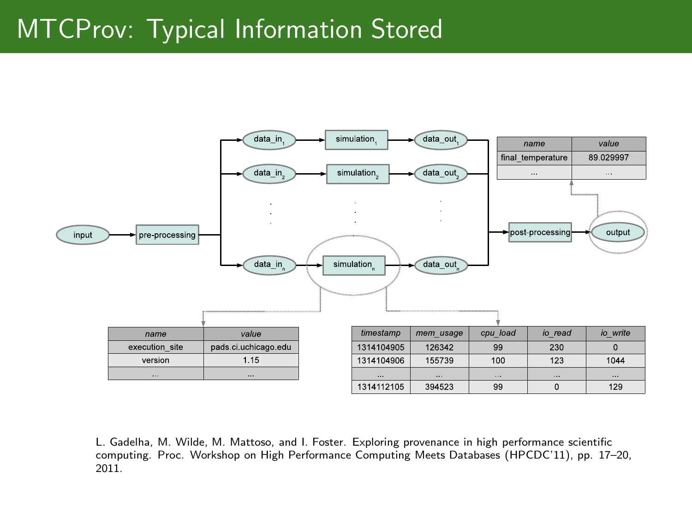# MTCProv: Typical Information Stored



L. Gadelha, M. Wilde, M. Mattoso, and I. Foster. Exploring provenance in high performance scientific computing. Proc. Workshop on High Performance Computing Meets Databases (HPCDC'11), pp. 17–20, 2011.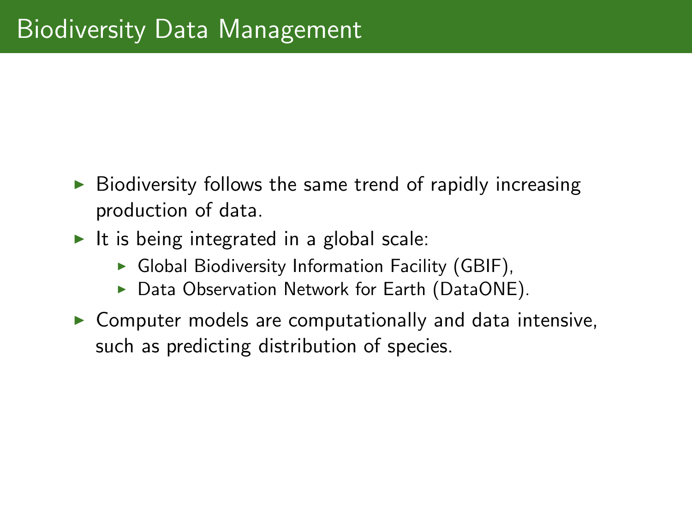- $\triangleright$  Biodiversity follows the same trend of rapidly increasing production of data.
- $\blacktriangleright$  It is being integrated in a global scale:
	- $\triangleright$  Global Biodiversity Information Facility (GBIF),
	- ▶ Data Observation Network for Earth (DataONE).
- $\triangleright$  Computer models are computationally and data intensive, such as predicting distribution of species.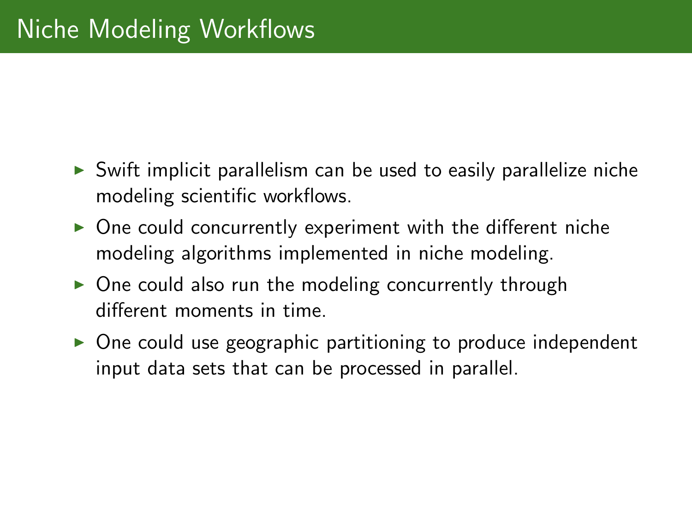- $\triangleright$  Swift implicit parallelism can be used to easily parallelize niche modeling scientific workflows.
- $\triangleright$  One could concurrently experiment with the different niche modeling algorithms implemented in niche modeling.
- $\triangleright$  One could also run the modeling concurrently through different moments in time.
- ► One could use geographic partitioning to produce independent input data sets that can be processed in parallel.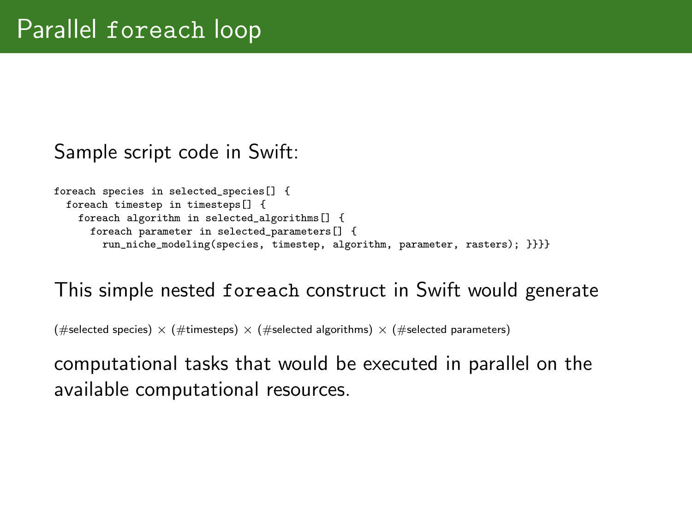#### Sample script code in Swift:

```
foreach species in selected_species[] {
foreach timestep in timesteps[] {
   foreach algorithm in selected_algorithms[] {
    foreach parameter in selected_parameters[] {
       run_niche_modeling(species, timestep, algorithm, parameter, rasters); }}}}
```
#### This simple nested foreach construct in Swift would generate

(#selected species)  $\times$  (#timesteps)  $\times$  (#selected algorithms)  $\times$  (#selected parameters)

computational tasks that would be executed in parallel on the available computational resources.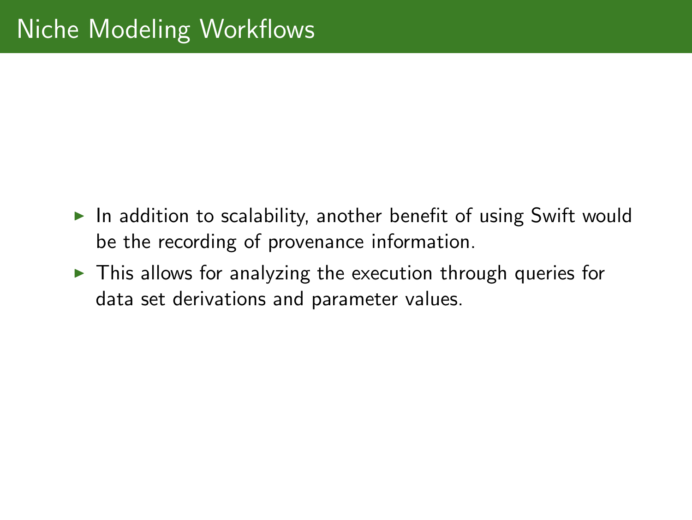- $\triangleright$  In addition to scalability, another benefit of using Swift would be the recording of provenance information.
- $\triangleright$  This allows for analyzing the execution through queries for data set derivations and parameter values.